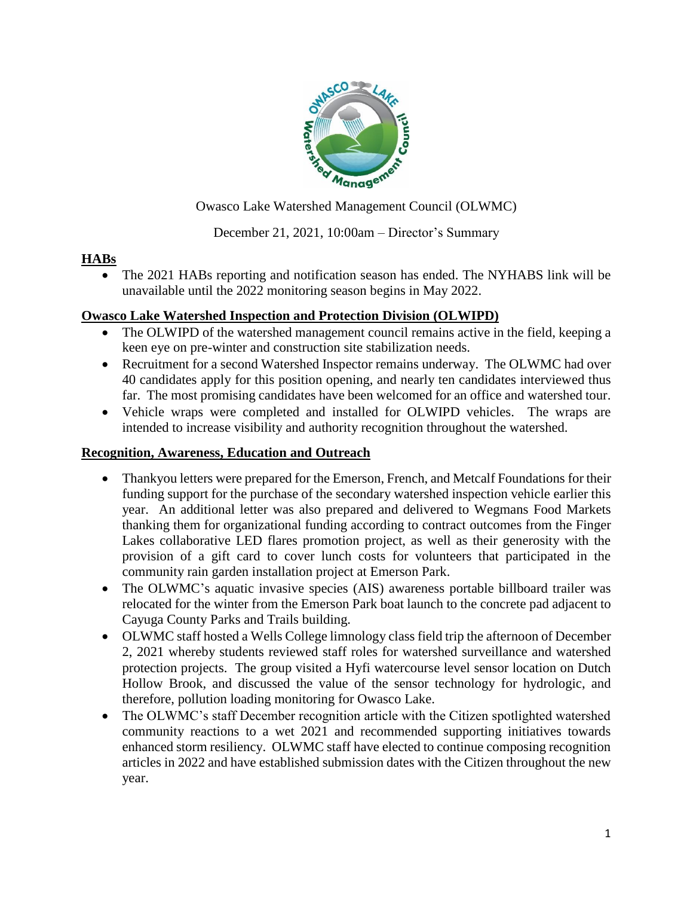

Owasco Lake Watershed Management Council (OLWMC)

# December 21, 2021, 10:00am – Director's Summary

#### **HABs**

 The 2021 HABs reporting and notification season has ended. The NYHABS link will be unavailable until the 2022 monitoring season begins in May 2022.

## **Owasco Lake Watershed Inspection and Protection Division (OLWIPD)**

- The OLWIPD of the watershed management council remains active in the field, keeping a keen eye on pre-winter and construction site stabilization needs.
- Recruitment for a second Watershed Inspector remains underway. The OLWMC had over 40 candidates apply for this position opening, and nearly ten candidates interviewed thus far. The most promising candidates have been welcomed for an office and watershed tour.
- Vehicle wraps were completed and installed for OLWIPD vehicles. The wraps are intended to increase visibility and authority recognition throughout the watershed.

### **Recognition, Awareness, Education and Outreach**

- Thankyou letters were prepared for the Emerson, French, and Metcalf Foundations for their funding support for the purchase of the secondary watershed inspection vehicle earlier this year. An additional letter was also prepared and delivered to Wegmans Food Markets thanking them for organizational funding according to contract outcomes from the Finger Lakes collaborative LED flares promotion project, as well as their generosity with the provision of a gift card to cover lunch costs for volunteers that participated in the community rain garden installation project at Emerson Park.
- The OLWMC's aquatic invasive species (AIS) awareness portable billboard trailer was relocated for the winter from the Emerson Park boat launch to the concrete pad adjacent to Cayuga County Parks and Trails building.
- OLWMC staff hosted a Wells College limnology class field trip the afternoon of December 2, 2021 whereby students reviewed staff roles for watershed surveillance and watershed protection projects. The group visited a Hyfi watercourse level sensor location on Dutch Hollow Brook, and discussed the value of the sensor technology for hydrologic, and therefore, pollution loading monitoring for Owasco Lake.
- The OLWMC's staff December recognition article with the Citizen spotlighted watershed community reactions to a wet 2021 and recommended supporting initiatives towards enhanced storm resiliency. OLWMC staff have elected to continue composing recognition articles in 2022 and have established submission dates with the Citizen throughout the new year.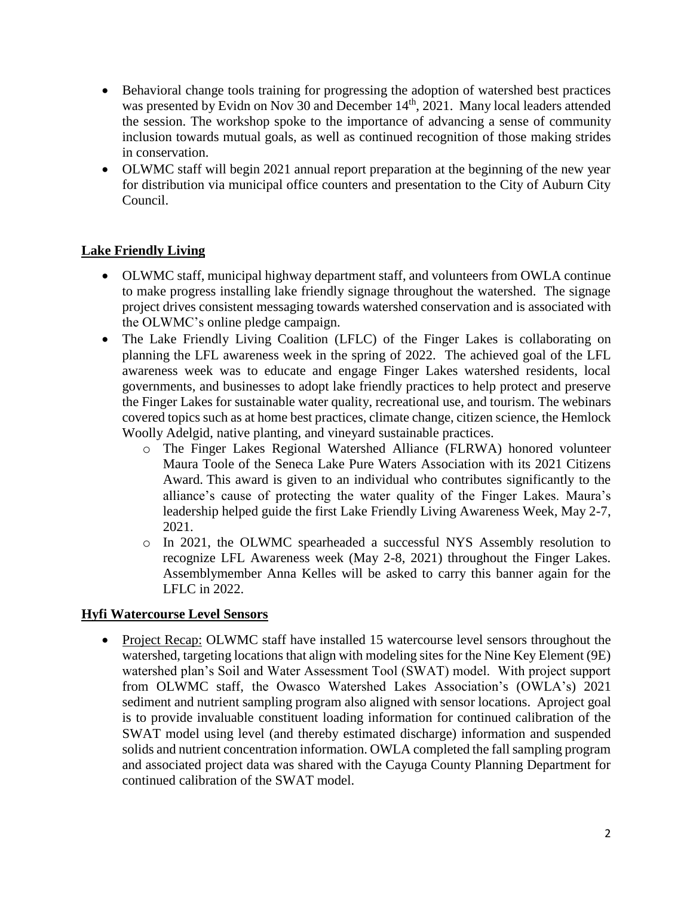- Behavioral change tools training for progressing the adoption of watershed best practices was presented by Evidn on Nov 30 and December 14<sup>th</sup>, 2021. Many local leaders attended the session. The workshop spoke to the importance of advancing a sense of community inclusion towards mutual goals, as well as continued recognition of those making strides in conservation.
- OLWMC staff will begin 2021 annual report preparation at the beginning of the new year for distribution via municipal office counters and presentation to the City of Auburn City Council.

## **Lake Friendly Living**

- OLWMC staff, municipal highway department staff, and volunteers from OWLA continue to make progress installing lake friendly signage throughout the watershed. The signage project drives consistent messaging towards watershed conservation and is associated with the OLWMC's online pledge campaign.
- The Lake Friendly Living Coalition (LFLC) of the Finger Lakes is collaborating on planning the LFL awareness week in the spring of 2022. The achieved goal of the LFL awareness week was to educate and engage Finger Lakes watershed residents, local governments, and businesses to adopt lake friendly practices to help protect and preserve the Finger Lakes for sustainable water quality, recreational use, and tourism. The webinars covered topics such as at home best practices, climate change, citizen science, the Hemlock Woolly Adelgid, native planting, and vineyard sustainable practices.
	- o The Finger Lakes Regional Watershed Alliance (FLRWA) honored volunteer Maura Toole of the Seneca Lake Pure Waters Association with its 2021 Citizens Award. This award is given to an individual who contributes significantly to the alliance's cause of protecting the water quality of the Finger Lakes. Maura's leadership helped guide the first Lake Friendly Living Awareness Week, May 2-7, 2021.
	- o In 2021, the OLWMC spearheaded a successful NYS Assembly resolution to recognize LFL Awareness week (May 2-8, 2021) throughout the Finger Lakes. Assemblymember Anna Kelles will be asked to carry this banner again for the LFLC in 2022.

#### **Hyfi Watercourse Level Sensors**

• Project Recap: OLWMC staff have installed 15 watercourse level sensors throughout the watershed, targeting locations that align with modeling sites for the Nine Key Element (9E) watershed plan's Soil and Water Assessment Tool (SWAT) model. With project support from OLWMC staff, the Owasco Watershed Lakes Association's (OWLA's) 2021 sediment and nutrient sampling program also aligned with sensor locations. Aproject goal is to provide invaluable constituent loading information for continued calibration of the SWAT model using level (and thereby estimated discharge) information and suspended solids and nutrient concentration information. OWLA completed the fall sampling program and associated project data was shared with the Cayuga County Planning Department for continued calibration of the SWAT model.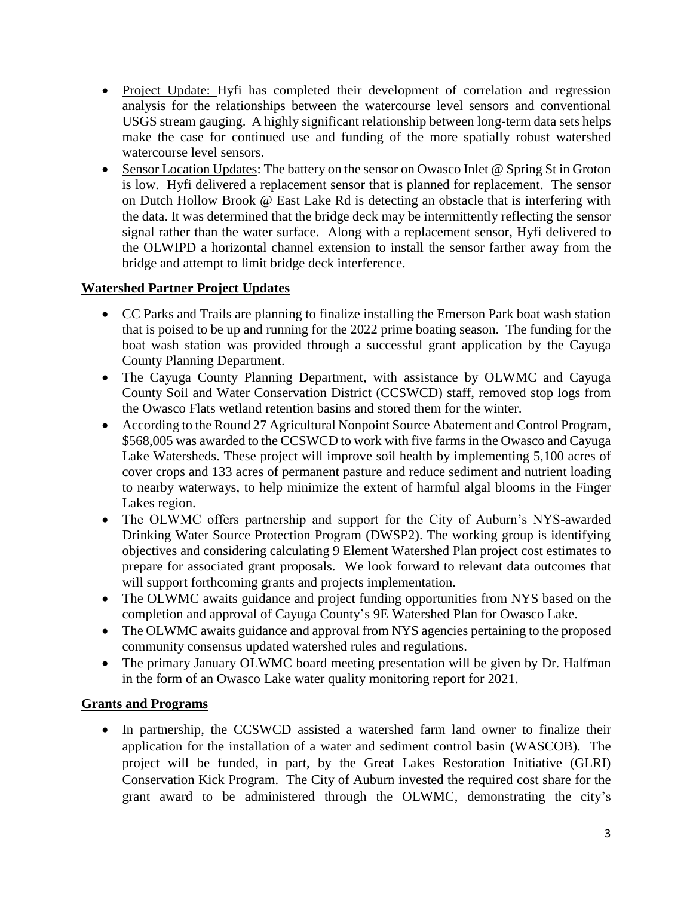- Project Update: Hyfi has completed their development of correlation and regression analysis for the relationships between the watercourse level sensors and conventional USGS stream gauging. A highly significant relationship between long-term data sets helps make the case for continued use and funding of the more spatially robust watershed watercourse level sensors.
- Sensor Location Updates: The battery on the sensor on Owasco Inlet @ Spring St in Groton is low. Hyfi delivered a replacement sensor that is planned for replacement. The sensor on Dutch Hollow Brook @ East Lake Rd is detecting an obstacle that is interfering with the data. It was determined that the bridge deck may be intermittently reflecting the sensor signal rather than the water surface. Along with a replacement sensor, Hyfi delivered to the OLWIPD a horizontal channel extension to install the sensor farther away from the bridge and attempt to limit bridge deck interference.

## **Watershed Partner Project Updates**

- CC Parks and Trails are planning to finalize installing the Emerson Park boat wash station that is poised to be up and running for the 2022 prime boating season. The funding for the boat wash station was provided through a successful grant application by the Cayuga County Planning Department.
- The Cayuga County Planning Department, with assistance by OLWMC and Cayuga County Soil and Water Conservation District (CCSWCD) staff, removed stop logs from the Owasco Flats wetland retention basins and stored them for the winter.
- According to the Round 27 Agricultural Nonpoint Source Abatement and Control Program, \$568,005 was awarded to the CCSWCD to work with five farms in the Owasco and Cayuga Lake Watersheds. These project will improve soil health by implementing 5,100 acres of cover crops and 133 acres of permanent pasture and reduce sediment and nutrient loading to nearby waterways, to help minimize the extent of harmful algal blooms in the Finger Lakes region.
- The OLWMC offers partnership and support for the City of Auburn's NYS-awarded Drinking Water Source Protection Program (DWSP2). The working group is identifying objectives and considering calculating 9 Element Watershed Plan project cost estimates to prepare for associated grant proposals. We look forward to relevant data outcomes that will support forthcoming grants and projects implementation.
- The OLWMC awaits guidance and project funding opportunities from NYS based on the completion and approval of Cayuga County's 9E Watershed Plan for Owasco Lake.
- The OLWMC awaits guidance and approval from NYS agencies pertaining to the proposed community consensus updated watershed rules and regulations.
- The primary January OLWMC board meeting presentation will be given by Dr. Halfman in the form of an Owasco Lake water quality monitoring report for 2021.

# **Grants and Programs**

• In partnership, the CCSWCD assisted a watershed farm land owner to finalize their application for the installation of a water and sediment control basin (WASCOB). The project will be funded, in part, by the Great Lakes Restoration Initiative (GLRI) Conservation Kick Program. The City of Auburn invested the required cost share for the grant award to be administered through the OLWMC, demonstrating the city's